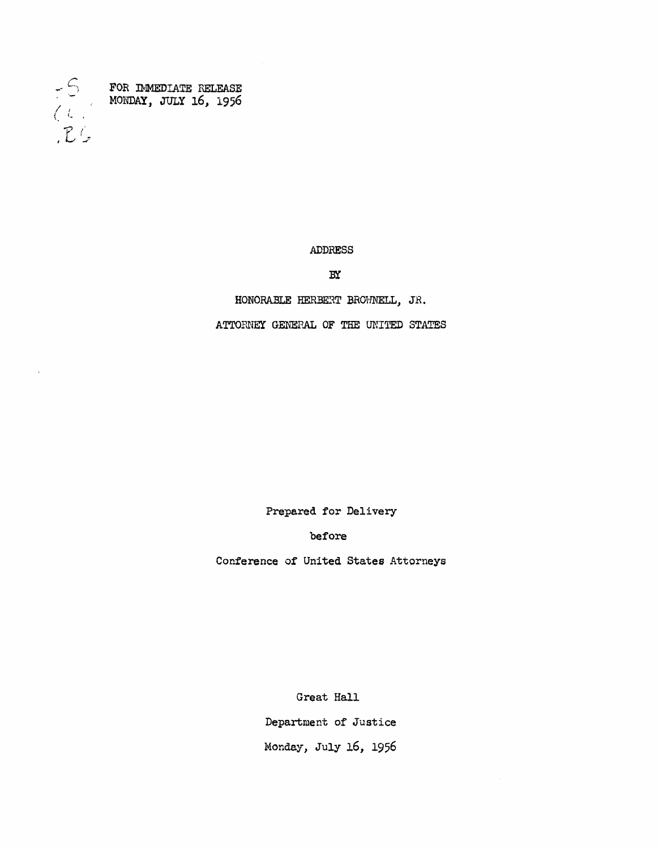

FOR IMMEDIATE RELEASE MOI~AY, JULy 16, 1956

ADDRESS

 $BX$ 

HONORABLE HERBERT BROWNELL, JR.

ATTORNEY GENERAL OF THE UNITED STATES

Prepared for Delivery

before

Conference of United States Attorneys

Great Hall

Department of Justice Monday, July *16, 1956*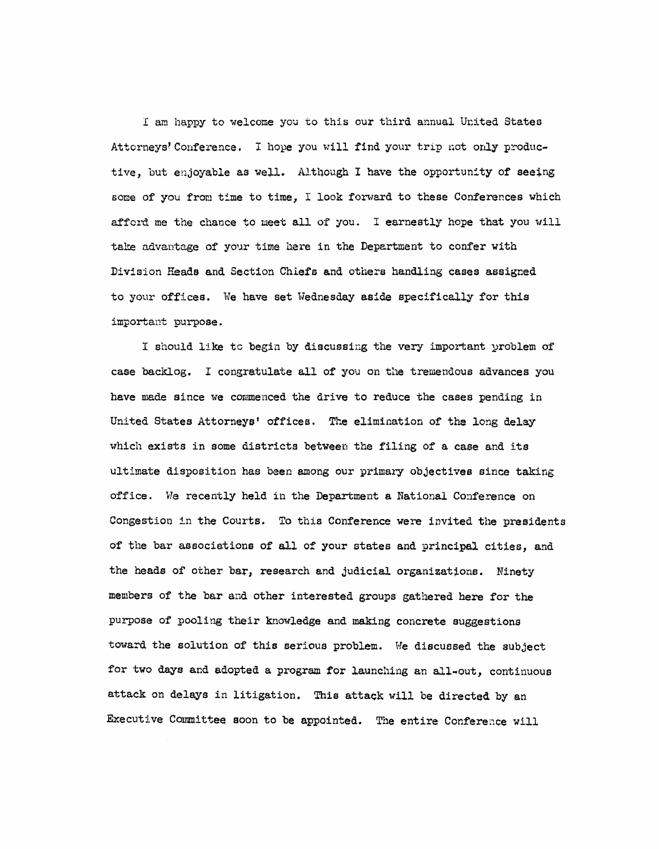I am happy to welcome you to this our third annual United States Attorneys' Conference. I hope you will find your trip not only productive, but enjoyable as well. Although I have the opportunity of seeing some of you from time to time, I look forward to these Conferences which afford me the chance to meet all of you. I earnestly hope that you will take advantage of your time here in the Department to confer with Division Heads and Section Chiefs and others handling cases assigned to your offices. We have set Wednesday aside specifically for this important purpose.

I should like to begin by discussing the very important problem of case backlog. I congratulate all of you on the tremendous advances you have made since we commenced the drive to reduce the cases pending in United States Attorneys' offices. The elimination of the long delay which exists in some districts between the filing of a case and its ultimate disposition has been among our primary objectives since taking office. We recently held in the Department a National Conference on Congestion in the Courts. To this Conference were invited the presidents of the bar associations of all of your states and principal cities, and the heads of other bar, research and judicial organizations. Ninety members of the bar and other interested groups gathered here for the purpose of pooling their knowledge and making concrete suggestions toward the solution of this serious problem. We discussed the subject for two days and adopted a program for launching an all-out, continuous attack on delays in litigation. This attack will be directed by an Executive Committee soon to be appointed. The entire Conference will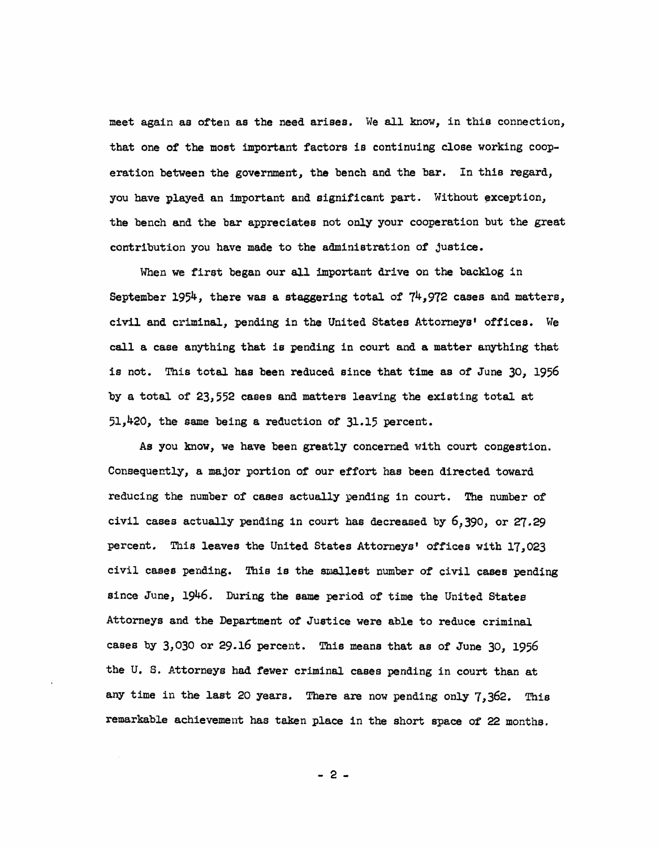meet again as often as the need arises. We all know, in this connection, that one of the most important factors is continuing close working cooperation between the government, the bench and the bar. In this regard, you have played an important and significant part. Without exception, the bench and the bar appreciates not only your cooperation but the great contribution you have made to the administration of justice.

When we first began our all important drive on the backlog in September 1954, there was a staggering total of  $74,972$  cases and matters, civil and criminal, pending in the United States Attorneys' offices. We call a case anything that is pending in court and a matter anything that is not. This total has been reduced since that time as of June 30, 1956 by a total of 23,552 cases and matters leaving the existing total at 51,420, the same being a reduction of 31.15 percent.

As you know, we have been greatly concerned with court congestion. ConsequentlY, a major portion of our effort has been directed toward reducing the number of cases actually pending in court. The number of civil cases actually pending in court has decreased by *6,390,* or 27.29 percent. This leaves the United States Attorneys' offices with 17,023 civil cases pending. This is the smallest number of civil cases pending since June, 1946. During the same period of time the United States Attorneys and the Department of Justice were able to reduce criminal cases by 3,030 or 29.16 percent. This means that as of June 30, 1956 the U. S. Attorneys had fewer criminal cases pending in court than at any time in the last 20 years. There are now pending only  $7,362$ . This remarkable achievement has taken place in the short space of 22 months.

 $-2-$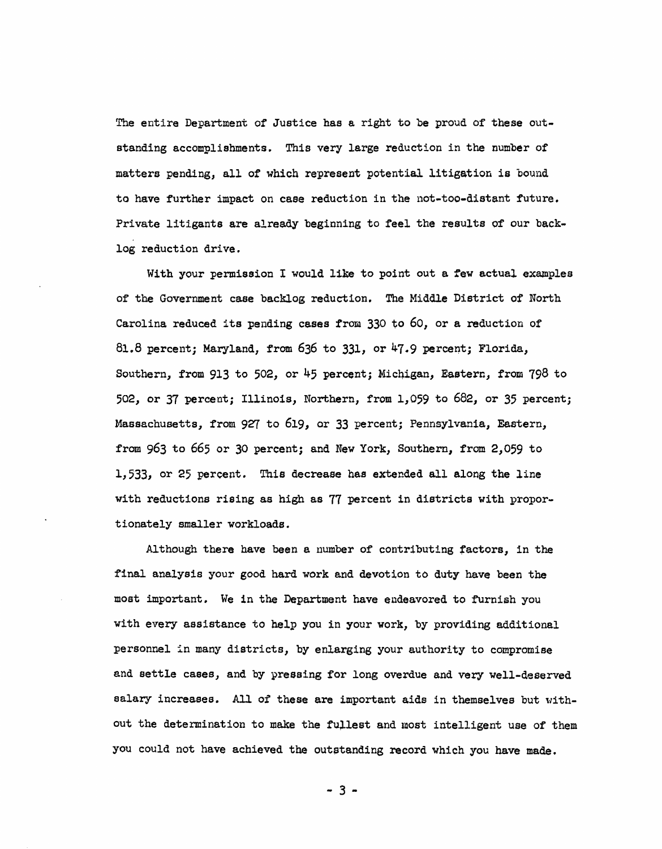The entire Department of Justice has a right to be proud of these outstanding accomplishments. This very large reduction in the number of matters pending, all of which represent potential litigation is bound to have further impaet on case reduction in the not-too-distant future. Private litigants are already beginning to feel the results of our backlog reduction drive.

With your permission I would like to point out a few actual examples of the Government case backlog reduction. The Middle District of North Carolina reduced its pending cases from  $330$  to 60, or a reduction of 81.8 percent; Maryland, from 636 to 331, or  $47.9$  percent; Florida, Southern, from 913 to 502, or 45 percent; Micnigan, Eastern, from 798 to 502, or 37 percent; Illinois, Northern, from 1,059 to 682, or 35 percent; Massachusetts, from 927 to 619, or 33 percent; Pennsylvania, Eastern, from 963 to 665 or 30 percent; and New York, Southern, fram 2,059 to 1,533, or 25 percent. This decrease has extended all along the line with reductions rising as high as 77 percent in districts with proportionately smaller workloads.

Although there have been a number of contributing factors, in the final analysis your good hard work and devotion to duty have been the most important. We in the Department have endeavored to furnish you with every assistance to help you in your work, by providing additional personnel in many districts, by enlarging your authority to compromise and settle cases, and by pressing for long overdue and very well-deserved salary increases. All of these are important aids in themselves but without the determination to make the fullest and most intelligent use of them you could not have achieved the outetanding record which you have made.

 $-3 -$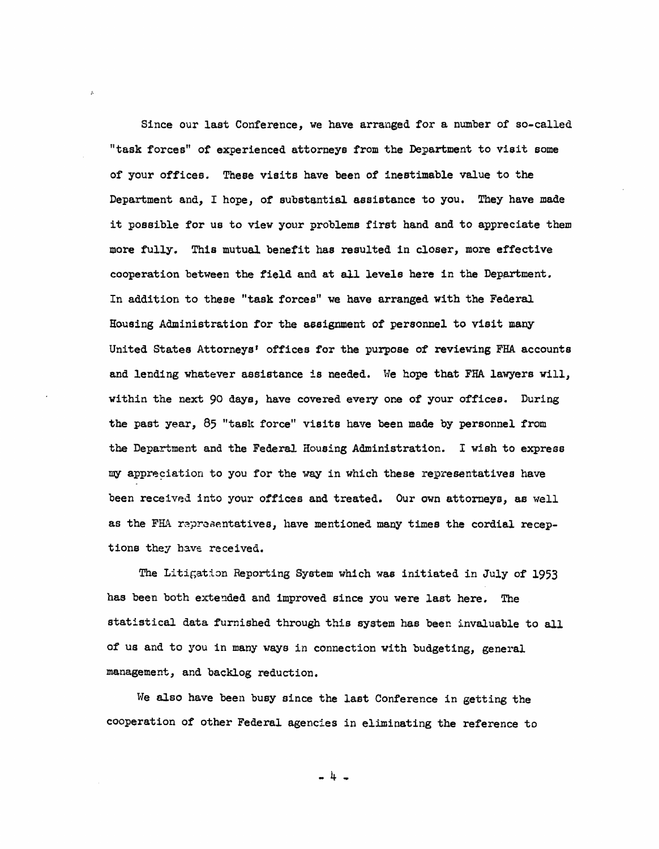Since our last Conference, we have arranged for a number of so-called "task forces" of experienced attorneys from the Department to visit some of your offices. These visits have been of inestimable value to the Department and, I hope, of substantial assistance to you. They have made it possible for us to view your problems first hand and to appreciate them more fully. This mutual benefit has resulted in closer, more effective cooperation between the field and at all levels here in the Department. In addition to these "task forces" we have arranged with the Federal Housing Administration for the assignment of personnel to visit many United States Attorneys' offices for the purpose of reviewing FHA accounts and lending whatever assistance is needed. We hope that FHA lawyers will, within the next 90 days, have covered every one of your offices. During the past year,  $85$  "task force" visits have been made by personnel from the Department and the Federal Housing Administration. I wish to express my appreciation to you for the way in which these representatives have been received into your offices and treated. Our own attorneys, as well as the FHA representatives, have mentioned many times the cordial receptions they have received.

The Litigation Reporting System which was initiated in July of 1953 has been both extended and improved since you were last here. The statistical data furnished through this system has been invaluable to all of us and to you in many ways in connection with budgeting, general management, and backlog reduction.

We also have been busy since the last Conference in getting the cooperation of other Federal agencies in eliminating the reference to

-4-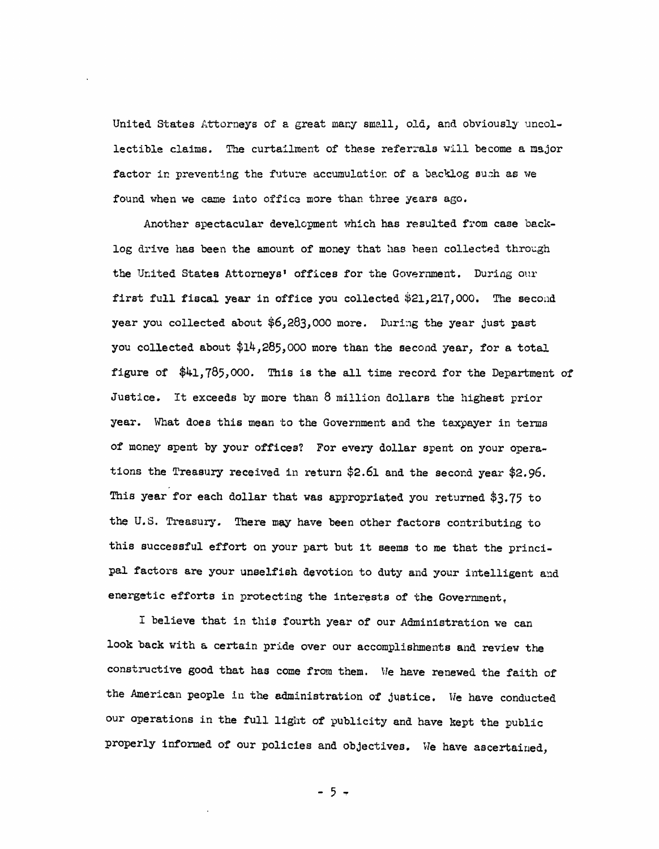United States Attorneys of a great many small, old, and obviously uncollectible claims. The curtailment of these referrals will become a major factor in preventing the future accumulation of a backlog such as we found when we came into office more than three years ago.

Another spectacular development which has resulted from case backlog drive has been the amount of money that has been collected through the United States Attorneys' offices for the Government. During our first full fiscal year in office you collected \$21,217,000. The second year you collected about  $$6,283,000$  more. During the year just past you collected about \$14,285,000 more than the second year, for a total figure of  $$41,785,000$ . This is the all time record for the Department of Justice. It exceeds by more than 8 million dollars the highest prior year. What does this mean to the Government and the taxpayer in terms of money spent by your offices? For every dollar spent on your operations the Treasury received in return  $$2.61$  and the second year  $$2.96$ . This year for each dollar that was appropriated you returned  $$3.75$  to the U.S. Treasury. There may have been other factors contributing to this successful effort on your part but it seems to me that the principal factors are your unselfish devotion to duty and your intelligent and energetic efforts in protecting the interests of the Government.

I believe that in this fourth year of our Administration we can look back with a certain pride over our accomplishments and review the constructive good that has come from them. He have renewed the faith of the American people in the administration of justice. We have conducted our operations in the full light of publicity and have kept the public properly informed of our policies and objectives. We have ascertained,

- 5 -